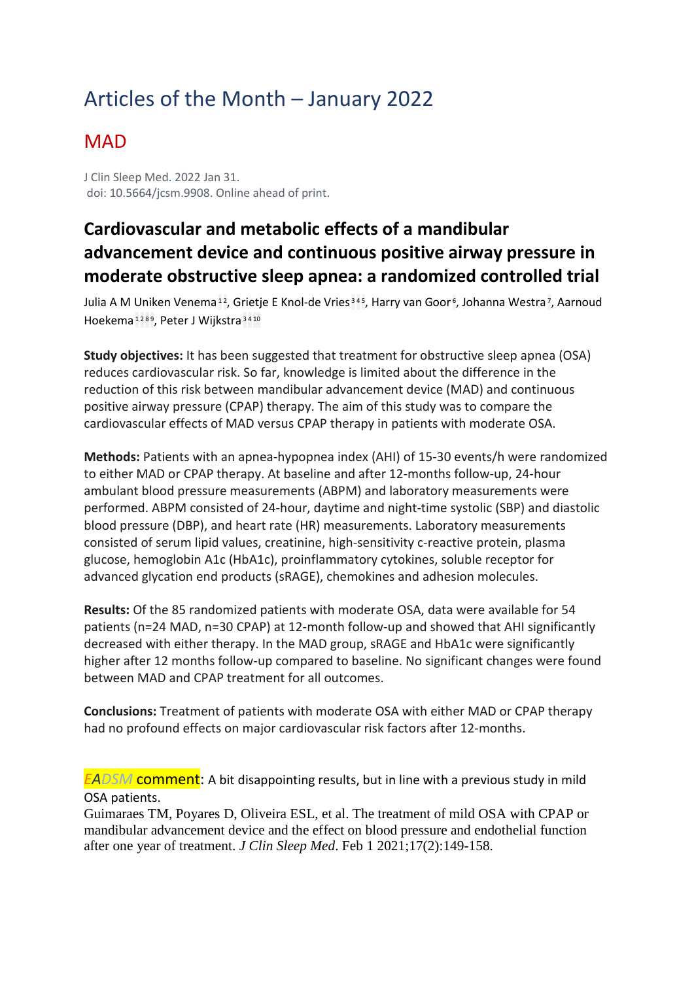# Articles of the Month – January 2022

### **MAD**

J Clin Sleep Med. 2022 Jan 31. doi: 10.5664/jcsm.9908. Online ahead of print.

### **Cardiovascular and metabolic effects of a mandibular advancement device and continuous positive airway pressure in moderate obstructive sleep apnea: a randomized controlled trial**

[Julia A M Uniken Venema](https://pubmed.ncbi.nlm.nih.gov/?sort=date&size=100&term=Venema+JAMU&cauthor_id=35088708)<sup>[1](https://pubmed.ncbi.nlm.nih.gov/35088708/#affiliation-1)2</sup>, [Grietje E Knol-de Vries](https://pubmed.ncbi.nlm.nih.gov/?sort=date&size=100&term=Vries+GEK&cauthor_id=35088708)<sup>[3](https://pubmed.ncbi.nlm.nih.gov/35088708/#affiliation-3)[4](https://pubmed.ncbi.nlm.nih.gov/35088708/#affiliation-4)5</sup>, [Harry van Goor](https://pubmed.ncbi.nlm.nih.gov/?sort=date&size=100&term=van+Goor+H&cauthor_id=35088708)<sup>6</sup>, [Johanna Westra](https://pubmed.ncbi.nlm.nih.gov/?sort=date&size=100&term=Westra+J&cauthor_id=35088708)<sup>7</sup>, Aarnoud [Hoekema](https://pubmed.ncbi.nlm.nih.gov/?sort=date&size=100&term=Hoekema+A&cauthor_id=35088708) [1](https://pubmed.ncbi.nlm.nih.gov/35088708/#affiliation-1) [2](https://pubmed.ncbi.nlm.nih.gov/35088708/#affiliation-2) [8](https://pubmed.ncbi.nlm.nih.gov/35088708/#affiliation-8) [9,](https://pubmed.ncbi.nlm.nih.gov/35088708/#affiliation-9) [Peter J Wijkstra](https://pubmed.ncbi.nlm.nih.gov/?sort=date&size=100&term=Wijkstra+PJ&cauthor_id=35088708) [3](https://pubmed.ncbi.nlm.nih.gov/35088708/#affiliation-3) [4](https://pubmed.ncbi.nlm.nih.gov/35088708/#affiliation-4) [10](https://pubmed.ncbi.nlm.nih.gov/35088708/#affiliation-10)

**Study objectives:** It has been suggested that treatment for obstructive sleep apnea (OSA) reduces cardiovascular risk. So far, knowledge is limited about the difference in the reduction of this risk between mandibular advancement device (MAD) and continuous positive airway pressure (CPAP) therapy. The aim of this study was to compare the cardiovascular effects of MAD versus CPAP therapy in patients with moderate OSA.

**Methods:** Patients with an apnea-hypopnea index (AHI) of 15-30 events/h were randomized to either MAD or CPAP therapy. At baseline and after 12-months follow-up, 24-hour ambulant blood pressure measurements (ABPM) and laboratory measurements were performed. ABPM consisted of 24-hour, daytime and night-time systolic (SBP) and diastolic blood pressure (DBP), and heart rate (HR) measurements. Laboratory measurements consisted of serum lipid values, creatinine, high-sensitivity c-reactive protein, plasma glucose, hemoglobin A1c (HbA1c), proinflammatory cytokines, soluble receptor for advanced glycation end products (sRAGE), chemokines and adhesion molecules.

**Results:** Of the 85 randomized patients with moderate OSA, data were available for 54 patients (n=24 MAD, n=30 CPAP) at 12-month follow-up and showed that AHI significantly decreased with either therapy. In the MAD group, sRAGE and HbA1c were significantly higher after 12 months follow-up compared to baseline. No significant changes were found between MAD and CPAP treatment for all outcomes.

**Conclusions:** Treatment of patients with moderate OSA with either MAD or CPAP therapy had no profound effects on major cardiovascular risk factors after 12-months.

*EADSM* comment: A bit disappointing results, but in line with a previous study in mild OSA patients.

Guimaraes TM, Poyares D, Oliveira ESL, et al. The treatment of mild OSA with CPAP or mandibular advancement device and the effect on blood pressure and endothelial function after one year of treatment. *J Clin Sleep Med*. Feb 1 2021;17(2):149-158.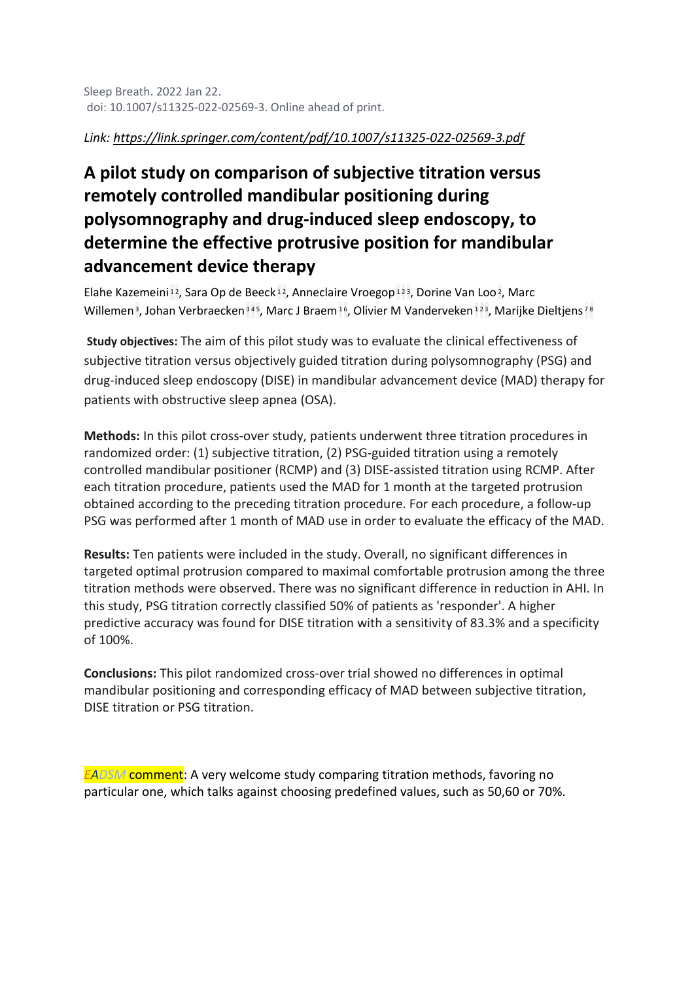### *Link:<https://link.springer.com/content/pdf/10.1007/s11325-022-02569-3.pdf>*

### **A pilot study on comparison of subjective titration versus remotely controlled mandibular positioning during polysomnography and drug-induced sleep endoscopy, to determine the effective protrusive position for mandibular advancement device therapy**

[Elahe Kazemeini](https://pubmed.ncbi.nlm.nih.gov/?sort=date&size=100&term=Kazemeini+E&cauthor_id=35064876)<sup>[1](https://pubmed.ncbi.nlm.nih.gov/35064876/#affiliation-1)2</sup>, [Sara Op de Beeck](https://pubmed.ncbi.nlm.nih.gov/?sort=date&size=100&term=Op+de+Beeck+S&cauthor_id=35064876)<sup>12</sup>, [Anneclaire Vroegop](https://pubmed.ncbi.nlm.nih.gov/?sort=date&size=100&term=Vroegop+A&cauthor_id=35064876)<sup>1[2](https://pubmed.ncbi.nlm.nih.gov/35064876/#affiliation-2)3</sup>, [Dorine Van Loo](https://pubmed.ncbi.nlm.nih.gov/?sort=date&size=100&term=Van+Loo+D&cauthor_id=35064876)<sup>2</sup>, Marc [Willemen](https://pubmed.ncbi.nlm.nih.gov/?sort=date&size=100&term=Willemen+M&cauthor_id=35064876)<sup>3</sup>, [Johan Verbraecken](https://pubmed.ncbi.nlm.nih.gov/?sort=date&size=100&term=Verbraecken+J&cauthor_id=35064876)<sup>[3](https://pubmed.ncbi.nlm.nih.gov/35064876/#affiliation-3)[4](https://pubmed.ncbi.nlm.nih.gov/35064876/#affiliation-4)5</sup>, [Marc J Braem](https://pubmed.ncbi.nlm.nih.gov/?sort=date&size=100&term=Braem+MJ&cauthor_id=35064876)<sup>[1](https://pubmed.ncbi.nlm.nih.gov/35064876/#affiliation-1)6</sup>, [Olivier M Vanderveken](https://pubmed.ncbi.nlm.nih.gov/?sort=date&size=100&term=Vanderveken+OM&cauthor_id=35064876)<sup>1[2](https://pubmed.ncbi.nlm.nih.gov/35064876/#affiliation-2)3</sup>, [Marijke Dieltjens](https://pubmed.ncbi.nlm.nih.gov/?sort=date&size=100&term=Dieltjens+M&cauthor_id=35064876)<sup>[7](https://pubmed.ncbi.nlm.nih.gov/35064876/#affiliation-7)[8](https://pubmed.ncbi.nlm.nih.gov/35064876/#affiliation-8)</sup>

**Study objectives:** The aim of this pilot study was to evaluate the clinical effectiveness of subjective titration versus objectively guided titration during polysomnography (PSG) and drug-induced sleep endoscopy (DISE) in mandibular advancement device (MAD) therapy for patients with obstructive sleep apnea (OSA).

**Methods:** In this pilot cross-over study, patients underwent three titration procedures in randomized order: (1) subjective titration, (2) PSG-guided titration using a remotely controlled mandibular positioner (RCMP) and (3) DISE-assisted titration using RCMP. After each titration procedure, patients used the MAD for 1 month at the targeted protrusion obtained according to the preceding titration procedure. For each procedure, a follow-up PSG was performed after 1 month of MAD use in order to evaluate the efficacy of the MAD.

**Results:** Ten patients were included in the study. Overall, no significant differences in targeted optimal protrusion compared to maximal comfortable protrusion among the three titration methods were observed. There was no significant difference in reduction in AHI. In this study, PSG titration correctly classified 50% of patients as 'responder'. A higher predictive accuracy was found for DISE titration with a sensitivity of 83.3% and a specificity of 100%.

**Conclusions:** This pilot randomized cross-over trial showed no differences in optimal mandibular positioning and corresponding efficacy of MAD between subjective titration, DISE titration or PSG titration.

*EADSM* comment: A very welcome study comparing titration methods, favoring no particular one, which talks against choosing predefined values, such as 50,60 or 70%.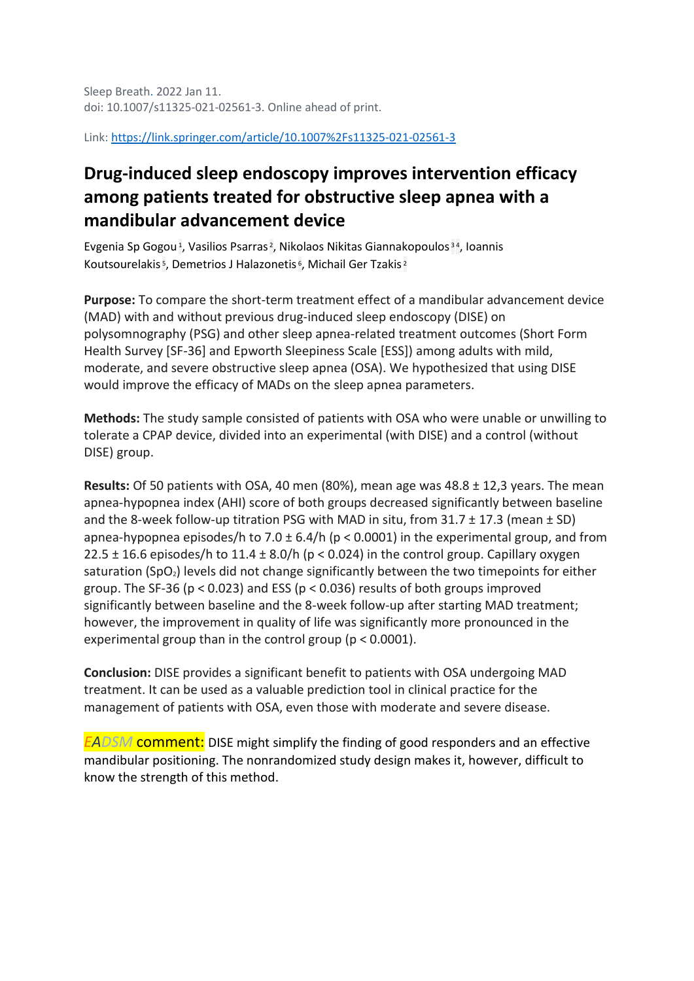Sleep Breath. 2022 Jan 11. doi: 10.1007/s11325-021-02561-3. Online ahead of print.

Link:<https://link.springer.com/article/10.1007%2Fs11325-021-02561-3>

### **Drug-induced sleep endoscopy improves intervention efficacy among patients treated for obstructive sleep apnea with a mandibular advancement device**

[Evgenia Sp Gogou](https://pubmed.ncbi.nlm.nih.gov/?sort=date&size=100&term=Gogou+ES&cauthor_id=35015211)<sup>1</sup>, [Vasilios Psarras](https://pubmed.ncbi.nlm.nih.gov/?sort=date&size=100&term=Psarras+V&cauthor_id=35015211)<sup>2</sup>, [Nikolaos Nikitas Giannakopoulos](https://pubmed.ncbi.nlm.nih.gov/?sort=date&size=100&term=Giannakopoulos+NN&cauthor_id=35015211)<sup>[3](https://pubmed.ncbi.nlm.nih.gov/35015211/#affiliation-3)4</sup>, Ioannis [Koutsourelakis](https://pubmed.ncbi.nlm.nih.gov/?sort=date&size=100&term=Koutsourelakis+I&cauthor_id=35015211)<sup>5</sup>, [Demetrios J Halazonetis](https://pubmed.ncbi.nlm.nih.gov/?sort=date&size=100&term=Halazonetis+DJ&cauthor_id=35015211)<sup>6</sup>, [Michail Ger Tzakis](https://pubmed.ncbi.nlm.nih.gov/?sort=date&size=100&term=Tzakis+MG&cauthor_id=35015211)<sup>[2](https://pubmed.ncbi.nlm.nih.gov/35015211/#affiliation-2)</sup>

**Purpose:** To compare the short-term treatment effect of a mandibular advancement device (MAD) with and without previous drug-induced sleep endoscopy (DISE) on polysomnography (PSG) and other sleep apnea-related treatment outcomes (Short Form Health Survey [SF-36] and Epworth Sleepiness Scale [ESS]) among adults with mild, moderate, and severe obstructive sleep apnea (OSA). We hypothesized that using DISE would improve the efficacy of MADs on the sleep apnea parameters.

**Methods:** The study sample consisted of patients with OSA who were unable or unwilling to tolerate a CPAP device, divided into an experimental (with DISE) and a control (without DISE) group.

**Results:** Of 50 patients with OSA, 40 men (80%), mean age was 48.8 ± 12,3 years. The mean apnea-hypopnea index (AHI) score of both groups decreased significantly between baseline and the 8-week follow-up titration PSG with MAD in situ, from  $31.7 \pm 17.3$  (mean  $\pm$  SD) apnea-hypopnea episodes/h to 7.0  $\pm$  6.4/h (p < 0.0001) in the experimental group, and from 22.5  $\pm$  16.6 episodes/h to 11.4  $\pm$  8.0/h (p < 0.024) in the control group. Capillary oxygen saturation (SpO<sub>2</sub>) levels did not change significantly between the two timepoints for either group. The SF-36 ( $p < 0.023$ ) and ESS ( $p < 0.036$ ) results of both groups improved significantly between baseline and the 8-week follow-up after starting MAD treatment; however, the improvement in quality of life was significantly more pronounced in the experimental group than in the control group (p < 0.0001).

**Conclusion:** DISE provides a significant benefit to patients with OSA undergoing MAD treatment. It can be used as a valuable prediction tool in clinical practice for the management of patients with OSA, even those with moderate and severe disease.

*EADSM* comment: DISE might simplify the finding of good responders and an effective mandibular positioning. The nonrandomized study design makes it, however, difficult to know the strength of this method.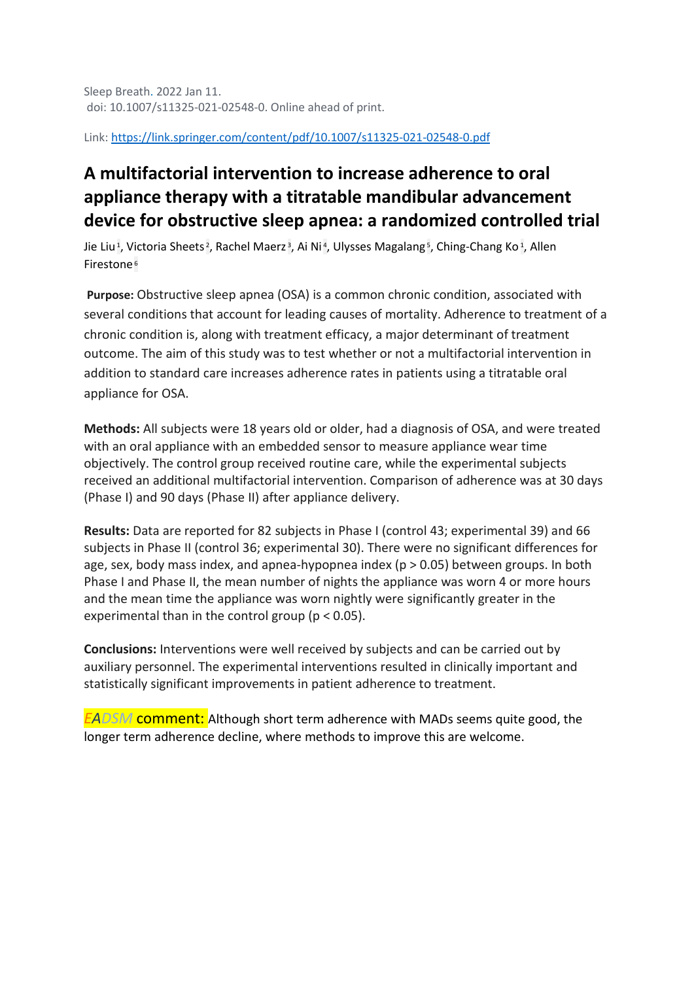Sleep Breath. 2022 Jan 11. doi: 10.1007/s11325-021-02548-0. Online ahead of print.

Link:<https://link.springer.com/content/pdf/10.1007/s11325-021-02548-0.pdf>

### **A multifactorial intervention to increase adherence to oral appliance therapy with a titratable mandibular advancement device for obstructive sleep apnea: a randomized controlled trial**

[Jie Liu](https://pubmed.ncbi.nlm.nih.gov/?sort=date&size=100&term=Liu+J&cauthor_id=35013898)<sup>1</sup>, [Victoria Sheets](https://pubmed.ncbi.nlm.nih.gov/?sort=date&size=100&term=Sheets+V&cauthor_id=35013898)<sup>2</sup>, [Rachel Maerz](https://pubmed.ncbi.nlm.nih.gov/?sort=date&size=100&term=Maerz+R&cauthor_id=35013898)<sup>3</sup>, [Ai Ni](https://pubmed.ncbi.nlm.nih.gov/?sort=date&size=100&term=Ni+A&cauthor_id=35013898)<sup>4</sup>, [Ulysses Magalang](https://pubmed.ncbi.nlm.nih.gov/?sort=date&size=100&term=Magalang+U&cauthor_id=35013898)<sup>5</sup>, [Ching-Chang Ko](https://pubmed.ncbi.nlm.nih.gov/?sort=date&size=100&term=Ko+CC&cauthor_id=35013898)<sup>1</sup>, Allen [Firestone](https://pubmed.ncbi.nlm.nih.gov/?sort=date&size=100&term=Firestone+A&cauthor_id=35013898) [6](https://pubmed.ncbi.nlm.nih.gov/35013898/#affiliation-6)

**Purpose:** Obstructive sleep apnea (OSA) is a common chronic condition, associated with several conditions that account for leading causes of mortality. Adherence to treatment of a chronic condition is, along with treatment efficacy, a major determinant of treatment outcome. The aim of this study was to test whether or not a multifactorial intervention in addition to standard care increases adherence rates in patients using a titratable oral appliance for OSA.

**Methods:** All subjects were 18 years old or older, had a diagnosis of OSA, and were treated with an oral appliance with an embedded sensor to measure appliance wear time objectively. The control group received routine care, while the experimental subjects received an additional multifactorial intervention. Comparison of adherence was at 30 days (Phase I) and 90 days (Phase II) after appliance delivery.

**Results:** Data are reported for 82 subjects in Phase I (control 43; experimental 39) and 66 subjects in Phase II (control 36; experimental 30). There were no significant differences for age, sex, body mass index, and apnea-hypopnea index ( $p > 0.05$ ) between groups. In both Phase I and Phase II, the mean number of nights the appliance was worn 4 or more hours and the mean time the appliance was worn nightly were significantly greater in the experimental than in the control group (p < 0.05).

**Conclusions:** Interventions were well received by subjects and can be carried out by auxiliary personnel. The experimental interventions resulted in clinically important and statistically significant improvements in patient adherence to treatment.

*EADSM* comment: Although short term adherence with MADs seems quite good, the longer term adherence decline, where methods to improve this are welcome.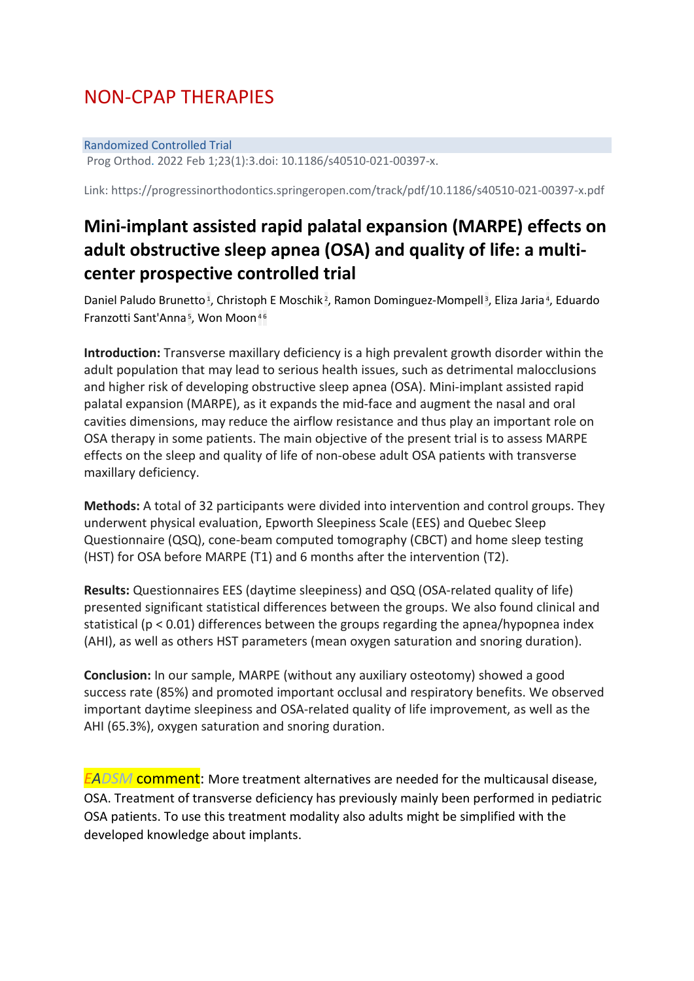## NON-CPAP THERAPIES

#### Randomized Controlled Trial

Prog Orthod. 2022 Feb 1;23(1):3.doi: 10.1186/s40510-021-00397-x.

Link: https://progressinorthodontics.springeropen.com/track/pdf/10.1186/s40510-021-00397-x.pdf

### **Mini-implant assisted rapid palatal expansion (MARPE) effects on adult obstructive sleep apnea (OSA) and quality of life: a multicenter prospective controlled trial**

[Daniel Paludo Brunetto](https://pubmed.ncbi.nlm.nih.gov/?sort=date&size=100&term=Brunetto+DP&cauthor_id=35102477)<sup>1</sup>, [Christoph E Moschik](https://pubmed.ncbi.nlm.nih.gov/?sort=date&size=100&term=Moschik+CE&cauthor_id=35102477)<sup>2</sup>, [Ramon Dominguez-Mompell](https://pubmed.ncbi.nlm.nih.gov/?sort=date&size=100&term=Dominguez-Mompell+R&cauthor_id=35102477)<sup>3</sup>, [Eliza Jaria](https://pubmed.ncbi.nlm.nih.gov/?sort=date&size=100&term=Jaria+E&cauthor_id=35102477)<sup>4</sup>, Eduardo [Franzotti Sant'Anna](https://pubmed.ncbi.nlm.nih.gov/?sort=date&size=100&term=Sant%27Anna+EF&cauthor_id=35102477)<sup>5</sup>, [Won Moon](https://pubmed.ncbi.nlm.nih.gov/?sort=date&size=100&term=Moon+W&cauthor_id=35102477)<sup>[4](https://pubmed.ncbi.nlm.nih.gov/35102477/#affiliation-4)[6](https://pubmed.ncbi.nlm.nih.gov/35102477/#affiliation-6)</sup>

**Introduction:** Transverse maxillary deficiency is a high prevalent growth disorder within the adult population that may lead to serious health issues, such as detrimental malocclusions and higher risk of developing obstructive sleep apnea (OSA). Mini-implant assisted rapid palatal expansion (MARPE), as it expands the mid-face and augment the nasal and oral cavities dimensions, may reduce the airflow resistance and thus play an important role on OSA therapy in some patients. The main objective of the present trial is to assess MARPE effects on the sleep and quality of life of non-obese adult OSA patients with transverse maxillary deficiency.

**Methods:** A total of 32 participants were divided into intervention and control groups. They underwent physical evaluation, Epworth Sleepiness Scale (EES) and Quebec Sleep Questionnaire (QSQ), cone-beam computed tomography (CBCT) and home sleep testing (HST) for OSA before MARPE (T1) and 6 months after the intervention (T2).

**Results:** Questionnaires EES (daytime sleepiness) and QSQ (OSA-related quality of life) presented significant statistical differences between the groups. We also found clinical and statistical (p < 0.01) differences between the groups regarding the apnea/hypopnea index (AHI), as well as others HST parameters (mean oxygen saturation and snoring duration).

**Conclusion:** In our sample, MARPE (without any auxiliary osteotomy) showed a good success rate (85%) and promoted important occlusal and respiratory benefits. We observed important daytime sleepiness and OSA-related quality of life improvement, as well as the AHI (65.3%), oxygen saturation and snoring duration.

*EADSM* comment: More treatment alternatives are needed for the multicausal disease, OSA. Treatment of transverse deficiency has previously mainly been performed in pediatric OSA patients. To use this treatment modality also adults might be simplified with the developed knowledge about implants.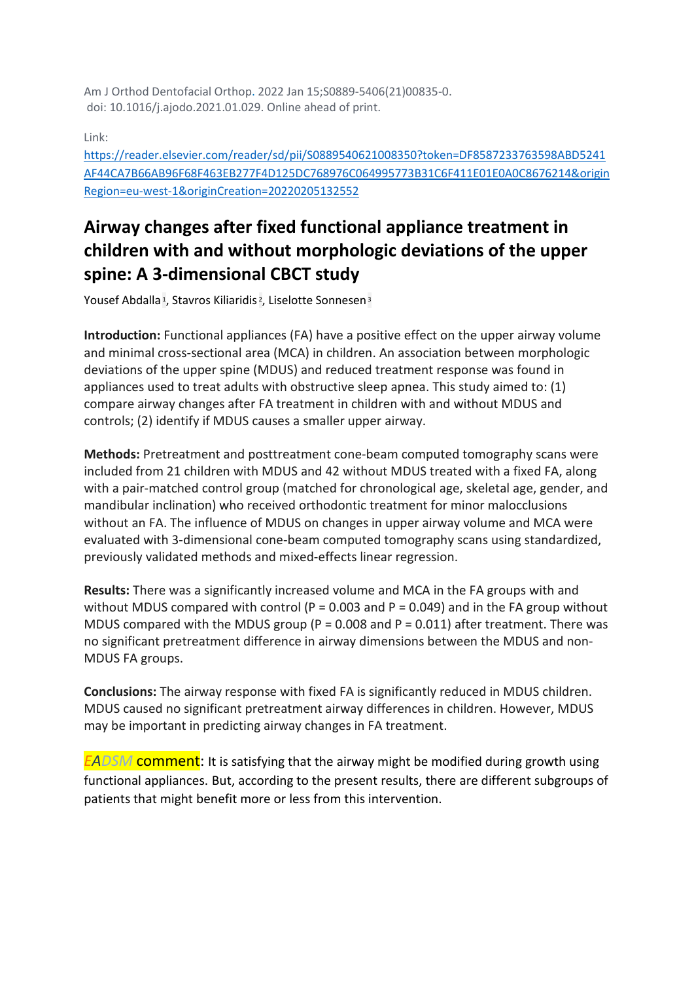Am J Orthod Dentofacial Orthop. 2022 Jan 15;S0889-5406(21)00835-0. doi: 10.1016/j.ajodo.2021.01.029. Online ahead of print.

Link:

[https://reader.elsevier.com/reader/sd/pii/S0889540621008350?token=DF8587233763598ABD5241](https://reader.elsevier.com/reader/sd/pii/S0889540621008350?token=DF8587233763598ABD5241AF44CA7B66AB96F68F463EB277F4D125DC768976C064995773B31C6F411E01E0A0C8676214&originRegion=eu-west-1&originCreation=20220205132552) [AF44CA7B66AB96F68F463EB277F4D125DC768976C064995773B31C6F411E01E0A0C8676214&origin](https://reader.elsevier.com/reader/sd/pii/S0889540621008350?token=DF8587233763598ABD5241AF44CA7B66AB96F68F463EB277F4D125DC768976C064995773B31C6F411E01E0A0C8676214&originRegion=eu-west-1&originCreation=20220205132552) [Region=eu-west-1&originCreation=20220205132552](https://reader.elsevier.com/reader/sd/pii/S0889540621008350?token=DF8587233763598ABD5241AF44CA7B66AB96F68F463EB277F4D125DC768976C064995773B31C6F411E01E0A0C8676214&originRegion=eu-west-1&originCreation=20220205132552)

### **Airway changes after fixed functional appliance treatment in children with and without morphologic deviations of the upper spine: A 3-dimensional CBCT study**

[Yousef Abdalla](https://pubmed.ncbi.nlm.nih.gov/?sort=date&size=100&term=Abdalla+Y&cauthor_id=35042633)<sup>1</sup>, [Stavros Kiliaridis](https://pubmed.ncbi.nlm.nih.gov/?sort=date&size=100&term=Kiliaridis+S&cauthor_id=35042633)<sup>2</sup>, [Liselotte Sonnesen](https://pubmed.ncbi.nlm.nih.gov/?sort=date&size=100&term=Sonnesen+L&cauthor_id=35042633)<sup>[3](https://pubmed.ncbi.nlm.nih.gov/35042633/#affiliation-3)</sup>

**Introduction:** Functional appliances (FA) have a positive effect on the upper airway volume and minimal cross-sectional area (MCA) in children. An association between morphologic deviations of the upper spine (MDUS) and reduced treatment response was found in appliances used to treat adults with obstructive sleep apnea. This study aimed to: (1) compare airway changes after FA treatment in children with and without MDUS and controls; (2) identify if MDUS causes a smaller upper airway.

**Methods:** Pretreatment and posttreatment cone-beam computed tomography scans were included from 21 children with MDUS and 42 without MDUS treated with a fixed FA, along with a pair-matched control group (matched for chronological age, skeletal age, gender, and mandibular inclination) who received orthodontic treatment for minor malocclusions without an FA. The influence of MDUS on changes in upper airway volume and MCA were evaluated with 3-dimensional cone-beam computed tomography scans using standardized, previously validated methods and mixed-effects linear regression.

**Results:** There was a significantly increased volume and MCA in the FA groups with and without MDUS compared with control (P = 0.003 and P = 0.049) and in the FA group without MDUS compared with the MDUS group (P = 0.008 and P = 0.011) after treatment. There was no significant pretreatment difference in airway dimensions between the MDUS and non-MDUS FA groups.

**Conclusions:** The airway response with fixed FA is significantly reduced in MDUS children. MDUS caused no significant pretreatment airway differences in children. However, MDUS may be important in predicting airway changes in FA treatment.

*EADSM* comment: It is satisfying that the airway might be modified during growth using functional appliances. But, according to the present results, there are different subgroups of patients that might benefit more or less from this intervention.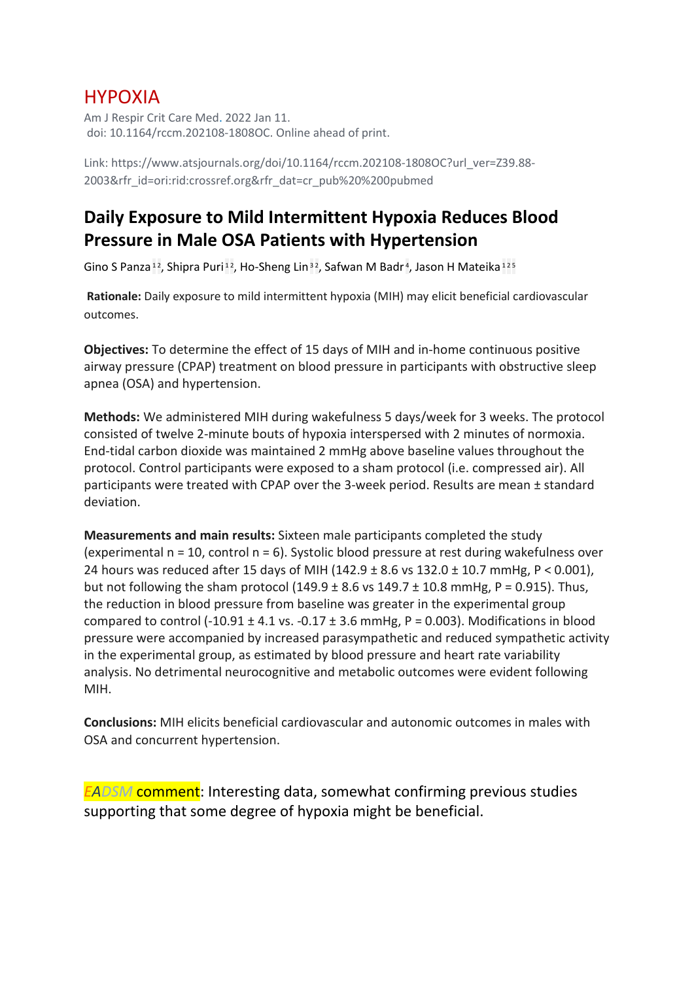### HYPOXIA

Am J Respir Crit Care Med. 2022 Jan 11. doi: 10.1164/rccm.202108-1808OC. Online ahead of print.

Link: https://www.atsjournals.org/doi/10.1164/rccm.202108-1808OC?url\_ver=Z39.88- 2003&rfr\_id=ori:rid:crossref.org&rfr\_dat=cr\_pub%20%200pubmed

### **Daily Exposure to Mild Intermittent Hypoxia Reduces Blood Pressure in Male OSA Patients with Hypertension**

[Gino S Panza](https://pubmed.ncbi.nlm.nih.gov/?sort=date&size=100&term=Panza+GS&cauthor_id=35015980)<sup>[1](https://pubmed.ncbi.nlm.nih.gov/35015980/#affiliation-1)2</sup>, [Shipra Puri](https://pubmed.ncbi.nlm.nih.gov/?sort=date&size=100&term=Puri+S&cauthor_id=35015980)<sup>12</sup>, [Ho-Sheng Lin](https://pubmed.ncbi.nlm.nih.gov/?sort=date&size=100&term=Lin+HS&cauthor_id=35015980)<sup>[3](https://pubmed.ncbi.nlm.nih.gov/35015980/#affiliation-3)2</sup>, [Safwan M Badr](https://pubmed.ncbi.nlm.nih.gov/?sort=date&size=100&term=Badr+SM&cauthor_id=35015980)<sup>4</sup>, [Jason H Mateika](https://pubmed.ncbi.nlm.nih.gov/?sort=date&size=100&term=Mateika+JH&cauthor_id=35015980)<sup>1[2](https://pubmed.ncbi.nlm.nih.gov/35015980/#affiliation-2)[5](https://pubmed.ncbi.nlm.nih.gov/35015980/#affiliation-5)</sup>

**Rationale:** Daily exposure to mild intermittent hypoxia (MIH) may elicit beneficial cardiovascular outcomes.

**Objectives:** To determine the effect of 15 days of MIH and in-home continuous positive airway pressure (CPAP) treatment on blood pressure in participants with obstructive sleep apnea (OSA) and hypertension.

**Methods:** We administered MIH during wakefulness 5 days/week for 3 weeks. The protocol consisted of twelve 2-minute bouts of hypoxia interspersed with 2 minutes of normoxia. End-tidal carbon dioxide was maintained 2 mmHg above baseline values throughout the protocol. Control participants were exposed to a sham protocol (i.e. compressed air). All participants were treated with CPAP over the 3-week period. Results are mean ± standard deviation.

**Measurements and main results:** Sixteen male participants completed the study (experimental  $n = 10$ , control  $n = 6$ ). Systolic blood pressure at rest during wakefulness over 24 hours was reduced after 15 days of MIH (142.9 ± 8.6 vs 132.0 ± 10.7 mmHg, P < 0.001), but not following the sham protocol  $(149.9 \pm 8.6 \text{ vs } 149.7 \pm 10.8 \text{ mmHg}, P = 0.915)$ . Thus, the reduction in blood pressure from baseline was greater in the experimental group compared to control (-10.91  $\pm$  4.1 vs. -0.17  $\pm$  3.6 mmHg, P = 0.003). Modifications in blood pressure were accompanied by increased parasympathetic and reduced sympathetic activity in the experimental group, as estimated by blood pressure and heart rate variability analysis. No detrimental neurocognitive and metabolic outcomes were evident following MIH.

**Conclusions:** MIH elicits beneficial cardiovascular and autonomic outcomes in males with OSA and concurrent hypertension.

*EADSM* comment: Interesting data, somewhat confirming previous studies supporting that some degree of hypoxia might be beneficial.